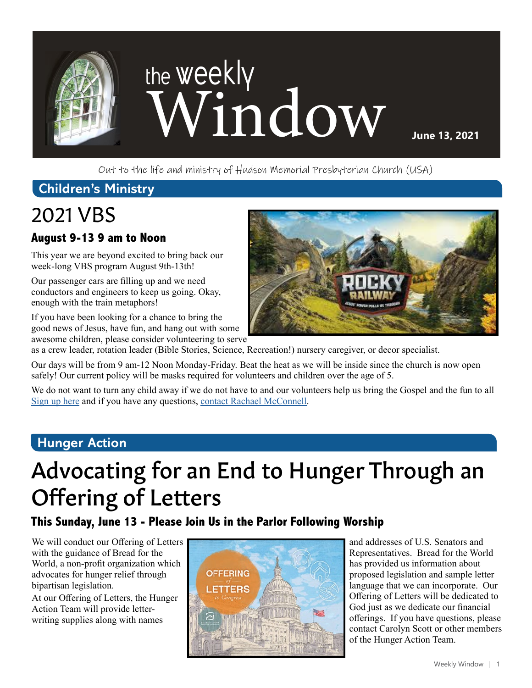

Out to the life and ministry of Hudson Memorial Presbyterian Church (USA)

### **Children's Ministry**

# 2021 VBS

### **August 9-13 9 am to Noon**

This year we are beyond excited to bring back our week-long VBS program August 9th-13th!

Our passenger cars are filling up and we need conductors and engineers to keep us going. Okay, enough with the train metaphors!

If you have been looking for a chance to bring the good news of Jesus, have fun, and hang out with some awesome children, please consider volunteering to serve

as a crew leader, rotation leader (Bible Stories, Science, Recreation!) nursery caregiver, or decor specialist.

Our days will be from 9 am-12 Noon Monday-Friday. Beat the heat as we will be inside since the church is now open safely! Our current policy will be masks required for volunteers and children over the age of 5.

We do not want to turn any child away if we do not have to and our volunteers help us bring the Gospel and the fun to all [Sign up here](https://vbspro.events/p/events/hmpcvbs2021) and if you have any questions, [contact Rachael McConnell](mailto:rmcconnell%40hmpc.org?subject=).

### **Hunger Action**

# Advocating for an End to Hunger Through an Offering of Letters

### **This Sunday, June 13 - Please Join Us in the Parlor Following Worship**

We will conduct our Offering of Letters with the guidance of Bread for the World, a non-profit organization which advocates for hunger relief through bipartisan legislation.

At our Offering of Letters, the Hunger Action Team will provide letterwriting supplies along with names



and addresses of U.S. Senators and Representatives. Bread for the World has provided us information about proposed legislation and sample letter language that we can incorporate. Our Offering of Letters will be dedicated to God just as we dedicate our financial offerings. If you have questions, please contact Carolyn Scott or other members of the Hunger Action Team.

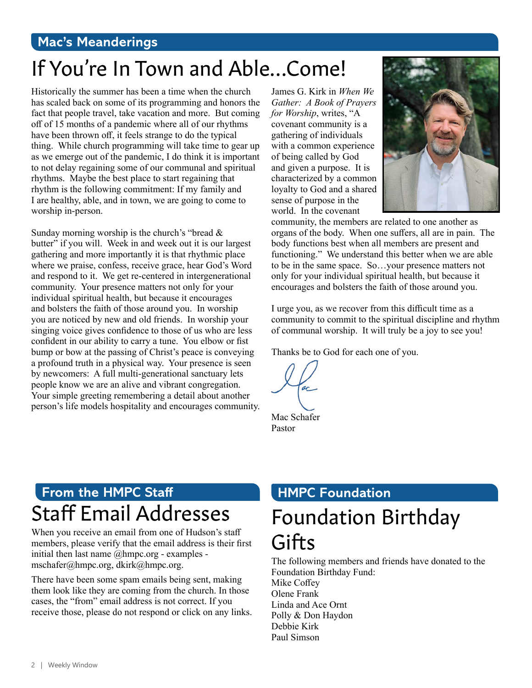### **Mac's Meanderings**

# If You're In Town and Able…Come!

Historically the summer has been a time when the church has scaled back on some of its programming and honors the fact that people travel, take vacation and more. But coming off of 15 months of a pandemic where all of our rhythms have been thrown off, it feels strange to do the typical thing. While church programming will take time to gear up as we emerge out of the pandemic, I do think it is important to not delay regaining some of our communal and spiritual rhythms. Maybe the best place to start regaining that rhythm is the following commitment: If my family and I are healthy, able, and in town, we are going to come to worship in-person.

Sunday morning worship is the church's "bread & butter" if you will. Week in and week out it is our largest gathering and more importantly it is that rhythmic place where we praise, confess, receive grace, hear God's Word and respond to it. We get re-centered in intergenerational community. Your presence matters not only for your individual spiritual health, but because it encourages and bolsters the faith of those around you. In worship you are noticed by new and old friends. In worship your singing voice gives confidence to those of us who are less confident in our ability to carry a tune. You elbow or fist bump or bow at the passing of Christ's peace is conveying a profound truth in a physical way. Your presence is seen by newcomers: A full multi-generational sanctuary lets people know we are an alive and vibrant congregation. Your simple greeting remembering a detail about another person's life models hospitality and encourages community.

James G. Kirk in *When We Gather: A Book of Prayers for Worship*, writes, "A covenant community is a gathering of individuals with a common experience of being called by God and given a purpose. It is characterized by a common loyalty to God and a shared sense of purpose in the world. In the covenant



community, the members are related to one another as organs of the body. When one suffers, all are in pain. The body functions best when all members are present and functioning." We understand this better when we are able to be in the same space. So…your presence matters not only for your individual spiritual health, but because it encourages and bolsters the faith of those around you.

I urge you, as we recover from this difficult time as a community to commit to the spiritual discipline and rhythm of communal worship. It will truly be a joy to see you!

Thanks be to God for each one of you.

 $ac$ 

Mac Schafer Pastor

## **From the HMPC Staff** Staff Email Addresses

When you receive an email from one of Hudson's staff members, please verify that the email address is their first initial then last name @hmpc.org - examples mschafer@hmpc.org, dkirk@hmpc.org.

There have been some spam emails being sent, making them look like they are coming from the church. In those cases, the "from" email address is not correct. If you receive those, please do not respond or click on any links.

### **HMPC Foundation**

# Foundation Birthday Gifts

The following members and friends have donated to the Foundation Birthday Fund: Mike Coffey Olene Frank Linda and Ace Ornt Polly & Don Haydon Debbie Kirk Paul Simson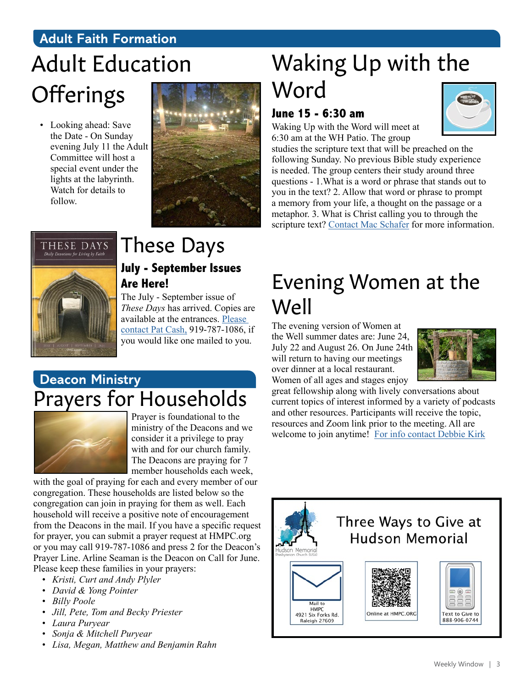### **Adult Faith Formation**

# Adult Education **Offerings**

• Looking ahead: Save the Date - On Sunday evening July 11 the Adult Committee will host a special event under the lights at the labyrinth. Watch for details to follow.



# Waking Up with the Word

### **June 15 - 6:30 am**

Waking Up with the Word will meet at 6:30 am at the WH Patio. The group



studies the scripture text that will be preached on the following Sunday. No previous Bible study experience is needed. The group centers their study around three questions - 1.What is a word or phrase that stands out to you in the text? 2. Allow that word or phrase to prompt a memory from your life, a thought on the passage or a metaphor. 3. What is Christ calling you to through the scripture text? [Contact Mac Schafer](mailto:mschafer%40hmpc.org?subject=) for more information.



### These Days **July - September Issues Are Here!**

The July - September issue of *These Days* has arrived. Copies are available at the entrances. [Please](mailto:pcash%40hmpc.org?subject=)  [contact Pat Cash,](mailto:pcash%40hmpc.org?subject=) 919-787-1086, if you would like one mailed to you.

### **Deacon Ministry** Prayers for Households



Prayer is foundational to the ministry of the Deacons and we consider it a privilege to pray with and for our church family. The Deacons are praying for 7 member households each week,

with the goal of praying for each and every member of our congregation. These households are listed below so the congregation can join in praying for them as well. Each household will receive a positive note of encouragement from the Deacons in the mail. If you have a specific request for prayer, you can submit a prayer request at HMPC.org or you may call 919-787-1086 and press 2 for the Deacon's Prayer Line. Arline Seaman is the Deacon on Call for June. Please keep these families in your prayers:

- *• Kristi, Curt and Andy Plyler*
- *• David & Yong Pointer*
- *• Billy Poole*
- *• Jill, Pete, Tom and Becky Priester*
- *• Laura Puryear*
- *• Sonja & Mitchell Puryear*
- *• Lisa, Megan, Matthew and Benjamin Rahn*

## Evening Women at the Well

The evening version of Women at the Well summer dates are: June 24, July 22 and August 26. On June 24th will return to having our meetings over dinner at a local restaurant. Women of all ages and stages enjoy



great fellowship along with lively conversations about current topics of interest informed by a variety of podcasts and other resources. Participants will receive the topic, resources and Zoom link prior to the meeting. All are welcome to join anytime! [For info contact Debbie Kirk](mailto:dkirk%40hmpc.org?subject=)

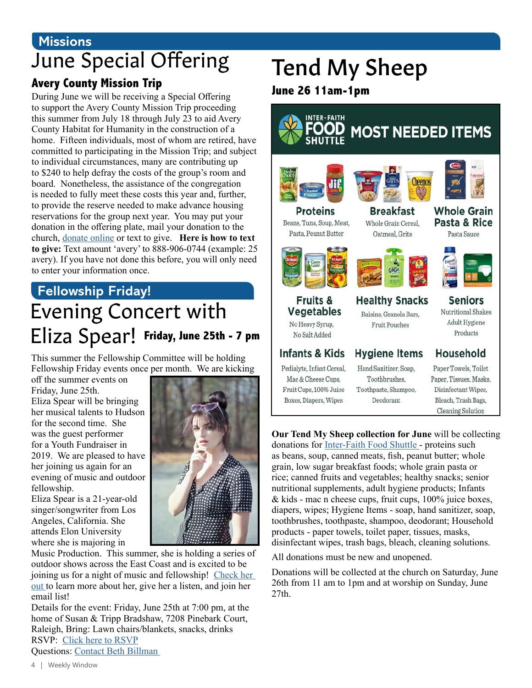## **Missions** June Special Offering

### **Avery County Mission Trip**

During June we will be receiving a Special Offering to support the Avery County Mission Trip proceeding this summer from July 18 through July 23 to aid Avery County Habitat for Humanity in the construction of a home. Fifteen individuals, most of whom are retired, have committed to participating in the Mission Trip; and subject to individual circumstances, many are contributing up to \$240 to help defray the costs of the group's room and board. Nonetheless, the assistance of the congregation is needed to fully meet these costs this year and, further, to provide the reserve needed to make advance housing reservations for the group next year. You may put your donation in the offering plate, mail your donation to the church, [donate online](https://www.eservicepayments.com/cgi-bin/Vanco_ver3.vps?appver3=Fi1giPL8kwX_Oe1AO50jRnQ574HZh5kFEHVJ6e5We_Us4NSQukCYDzKLUtTTUlsf2EvVVAEjqawDomKT1pbouTsRltlX7QEmZN4jxtbsYBc=&ver=3) or text to give. **Here is how to text to give:** Text amount 'avery' to 888-906-0744 (example: 25 avery). If you have not done this before, you will only need to enter your information once.

## Evening Concert with Eliza Spear! **Friday, June 25th - 7 pmFellowship Friday!**

This summer the Fellowship Committee will be holding Fellowship Friday events once per month. We are kicking

off the summer events on Friday, June 25th. Eliza Spear will be bringing her musical talents to Hudson for the second time. She was the guest performer for a Youth Fundraiser in 2019. We are pleased to have her joining us again for an evening of music and outdoor fellowship.

Eliza Spear is a 21-year-old singer/songwriter from Los Angeles, California. She attends Elon University where she is majoring in



Music Production. This summer, she is holding a series of outdoor shows across the East Coast and is excited to be joining us for a night of music and fellowship! [Check her](http://elizaspearmusic.com)  [out](http://elizaspearmusic.com) to learn more about her, give her a listen, and join her email list!

Details for the event: Friday, June 25th at 7:00 pm, at the home of Susan & Tripp Bradshaw, 7208 Pinebark Court, Raleigh, Bring: Lawn chairs/blankets, snacks, drinks RSVP: [Click here to RSVP](https://www.signupgenius.com/go/904044eaaa92d6-fellowship) Questions: [Contact Beth Billman](mailto:bethbillman%40gmail.com?subject=) 

# Tend My Sheep

**June 26 11am-1pm**



**Our Tend My Sheep collection for June** will be collecting donations for [Inter-Faith Food Shuttle -](https://www.foodshuttle.org/) proteins such as beans, soup, canned meats, fish, peanut butter; whole grain, low sugar breakfast foods; whole grain pasta or rice; canned fruits and vegetables; healthy snacks; senior nutritional supplements, adult hygiene products; Infants & kids - mac n cheese cups, fruit cups, 100% juice boxes, diapers, wipes; Hygiene Items - soap, hand sanitizer, soap, toothbrushes, toothpaste, shampoo, deodorant; Household products - paper towels, toilet paper, tissues, masks, disinfectant wipes, trash bags, bleach, cleaning solutions.

All donations must be new and unopened.

Donations will be collected at the church on Saturday, June 26th from 11 am to 1pm and at worship on Sunday, June 27th.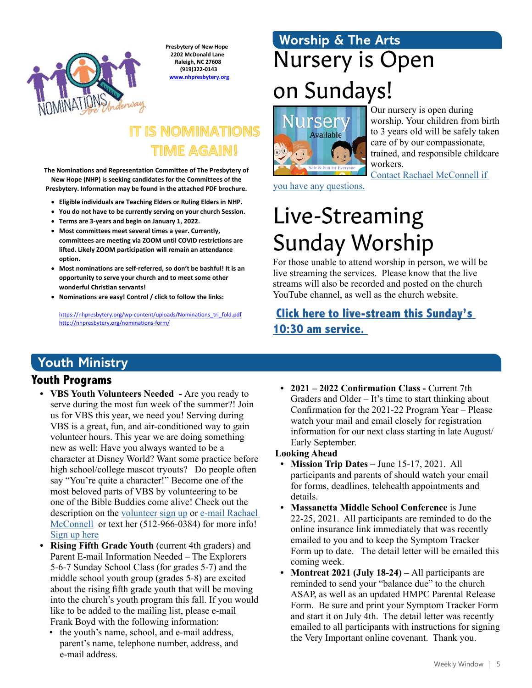

**Presbytery of New Hope 2202 McDonald Lane Raleigh, NC 27608 (919)322-0143 www.nhpresbytery.org**

### **IT IS NOMINATIONS** TIME AGAIN!

**The Nominations and Representation Committee of The Presbytery of New Hope (NHP) is seeking candidates for the Committees of the Presbytery. Information may be found in the attached PDF brochure.** 

- **Eligible individuals are Teaching Elders or Ruling Elders in NHP.**
- **You do not have to be currently serving on your church Session.**
- **Terms are 3-years and begin on January 1, 2022.**
- **Most committees meet several times a year. Currently, committees are meeting via ZOOM until COVID restrictions are lifted. Likely ZOOM participation will remain an attendance option.**
- **Most nominations are self-referred, so don't be bashful! It is an opportunity to serve your church and to meet some other wonderful Christian servants!**
- **Nominations are easy! Control / click to follow the links:**

https://nhpresbytery.org/wp-content/uploads/Nominations\_tri\_fold.pdf http://nhpresbytery.org/nominations-form/

# Nursery is Open on Sundays! **Worship & The Arts**



Our nursery is open during worship. Your children from birth to 3 years old will be safely taken care of by our compassionate, trained, and responsible childcare workers.

[Contact Rachael McConnell if](mailto:rmcconnell%40hmpc.org?subject=)  [you have any questions.](mailto:rmcconnell%40hmpc.org?subject=)

# Live-Streaming Sunday Worship

For those unable to attend worship in person, we will be live streaming the services. Please know that the live streams will also be recorded and posted on the church YouTube channel, as well as the church website.

### **[Click here to live-stream this Sunday's](https://www.youtube.com/channel/UCuYf7XqKx9g_Mc0_BsPkWlA)  [10:30 am service.](https://www.youtube.com/channel/UCuYf7XqKx9g_Mc0_BsPkWlA)**

### **Youth Ministry**

#### **Youth Programs**

- **• VBS Youth Volunteers Needed** Are you ready to serve during the most fun week of the summer?! Join us for VBS this year, we need you! Serving during VBS is a great, fun, and air-conditioned way to gain volunteer hours. This year we are doing something new as well: Have you always wanted to be a character at Disney World? Want some practice before high school/college mascot tryouts? Do people often say "You're quite a character!" Become one of the most beloved parts of VBS by volunteering to be one of the Bible Buddies come alive! Check out the description on the [volunteer sign up](http://vbspro.events/p/hmpcvbs2021
) or [e-mail Rachael](mailto:mcconnell%40hmpc.org?subject=)  [McConnell](mailto:mcconnell%40hmpc.org?subject=) or text her (512-966-0384) for more info! [Sign up here](http://vbspro.events/p/hmpcvbs2021
)
- **Rising Fifth Grade Youth** (current 4th graders) and Parent E-mail Information Needed – The Explorers 5-6-7 Sunday School Class (for grades 5-7) and the middle school youth group (grades 5-8) are excited about the rising fifth grade youth that will be moving into the church's youth program this fall. If you would like to be added to the mailing list, please e-mail Frank Boyd with the following information:
	- the youth's name, school, and e-mail address, parent's name, telephone number, address, and e-mail address.

**• 2021 – 2022 Confirmation Class -** Current 7th Graders and Older – It's time to start thinking about Confirmation for the 2021-22 Program Year – Please watch your mail and email closely for registration information for our next class starting in late August/ Early September.

#### **Looking Ahead**

- **• Mission Trip Dates** June 15-17, 2021. All participants and parents of should watch your email for forms, deadlines, telehealth appointments and details.
- **• Massanetta Middle School Conference** is June 22-25, 2021. All participants are reminded to do the online insurance link immediately that was recently emailed to you and to keep the Symptom Tracker Form up to date. The detail letter will be emailed this coming week.
- **• Montreat 2021 (July 18-24)** All participants are reminded to send your "balance due" to the church ASAP, as well as an updated HMPC Parental Release Form. Be sure and print your Symptom Tracker Form and start it on July 4th. The detail letter was recently emailed to all participants with instructions for signing the Very Important online covenant. Thank you.